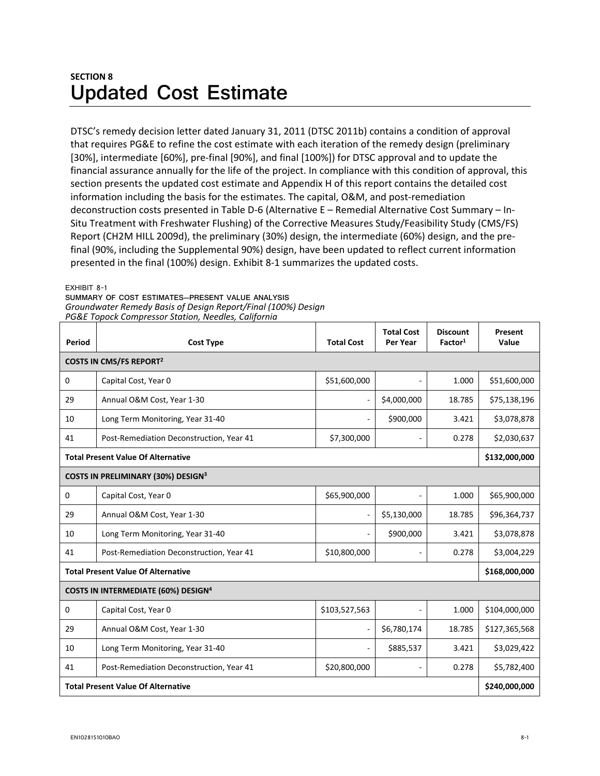## **SECTION 8 Updated Cost Estimate**

DTSC's remedy decision letter dated January 31, 2011 (DTSC 2011b) contains a condition of approval that requires PG&E to refine the cost estimate with each iteration of the remedy design (preliminary [30%], intermediate [60%], pre-final [90%], and final [100%]) for DTSC approval and to update the financial assurance annually for the life of the project. In compliance with this condition of approval, this section presents the updated cost estimate and Appendix H of this report contains the detailed cost information including the basis for the estimates. The capital, O&M, and post-remediation deconstruction costs presented in Table D-6 (Alternative E – Remedial Alternative Cost Summary – In-Situ Treatment with Freshwater Flushing) of the Corrective Measures Study/Feasibility Study (CMS/FS) Report (CH2M HILL 2009d), the preliminary (30%) design, the intermediate (60%) design, and the pre‐ final (90%, including the Supplemental 90%) design, have been updated to reflect current information presented in the final (100%) design. Exhibit 8‐1 summarizes the updated costs.

EXHIBIT 8-1

**SUMMARY OF COST ESTIMATES—PRESENT VALUE ANALYSIS**  *Groundwater Remedy Basis of Design Report/Final (100%) Design PG&E Topock Compressor Station, Needles, California*

| Period                                                | <b>Cost Type</b>                         | <b>Total Cost</b>        | <b>Total Cost</b><br>Per Year | <b>Discount</b><br>Factor <sup>1</sup> | Present<br>Value |  |  |  |
|-------------------------------------------------------|------------------------------------------|--------------------------|-------------------------------|----------------------------------------|------------------|--|--|--|
| <b>COSTS IN CMS/FS REPORT2</b>                        |                                          |                          |                               |                                        |                  |  |  |  |
| $\Omega$                                              | Capital Cost, Year 0                     | \$51,600,000             |                               | 1.000                                  | \$51,600,000     |  |  |  |
| 29                                                    | Annual O&M Cost, Year 1-30               |                          | \$4,000,000                   | 18.785                                 | \$75,138,196     |  |  |  |
| 10                                                    | Long Term Monitoring, Year 31-40         |                          | \$900,000                     | 3.421                                  | \$3,078,878      |  |  |  |
| 41                                                    | Post-Remediation Deconstruction, Year 41 | \$7,300,000              | $\sim$                        | 0.278                                  | \$2,030,637      |  |  |  |
| <b>Total Present Value Of Alternative</b>             |                                          |                          |                               |                                        |                  |  |  |  |
| COSTS IN PRELIMINARY (30%) DESIGN <sup>3</sup>        |                                          |                          |                               |                                        |                  |  |  |  |
| 0                                                     | Capital Cost, Year 0                     | \$65,900,000             | $\overline{\phantom{a}}$      | 1.000                                  | \$65,900,000     |  |  |  |
| 29                                                    | Annual O&M Cost, Year 1-30               |                          | \$5,130,000                   | 18.785                                 | \$96,364,737     |  |  |  |
| 10                                                    | Long Term Monitoring, Year 31-40         | $\overline{\phantom{a}}$ | \$900,000                     | 3.421                                  | \$3,078,878      |  |  |  |
| 41                                                    | Post-Remediation Deconstruction, Year 41 | \$10,800,000             | ٠                             | 0.278                                  | \$3,004,229      |  |  |  |
| <b>Total Present Value Of Alternative</b>             |                                          |                          |                               |                                        |                  |  |  |  |
| <b>COSTS IN INTERMEDIATE (60%) DESIGN<sup>4</sup></b> |                                          |                          |                               |                                        |                  |  |  |  |
| $\Omega$                                              | Capital Cost, Year 0                     | \$103,527,563            |                               | 1.000                                  | \$104,000,000    |  |  |  |
| 29                                                    | Annual O&M Cost, Year 1-30               |                          | \$6,780,174                   | 18.785                                 | \$127,365,568    |  |  |  |
| 10                                                    | Long Term Monitoring, Year 31-40         | $\overline{\phantom{a}}$ | \$885,537                     | 3.421                                  | \$3,029,422      |  |  |  |
| 41                                                    | Post-Remediation Deconstruction, Year 41 | \$20,800,000             | $\overline{\phantom{a}}$      | 0.278                                  | \$5,782,400      |  |  |  |
| <b>Total Present Value Of Alternative</b>             |                                          |                          |                               |                                        |                  |  |  |  |